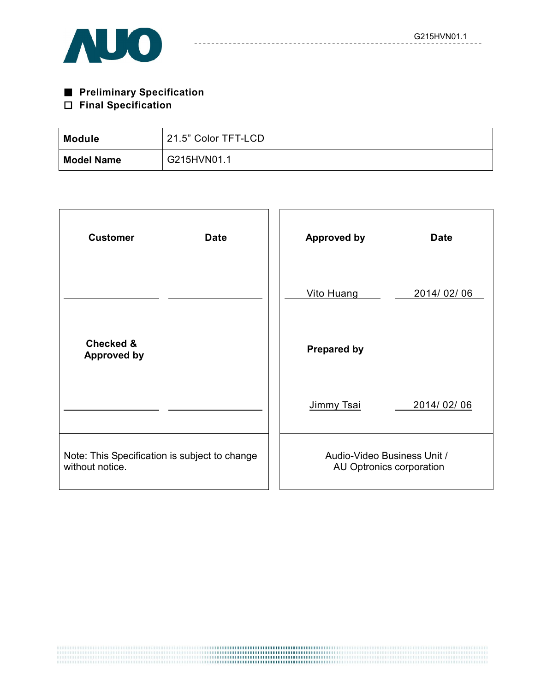

# ■ **Preliminary Specification**

# □ **Final Specification**

| <b>Module</b>     | 21.5" Color TFT-LCD |
|-------------------|---------------------|
| <b>Model Name</b> | G215HVN01.1         |

| <b>Customer</b><br><b>Date</b>                                   | <b>Approved by</b><br><b>Date</b>                       |
|------------------------------------------------------------------|---------------------------------------------------------|
|                                                                  | Vito Huang<br>2014/02/06                                |
| <b>Checked &amp;</b><br><b>Approved by</b>                       | <b>Prepared by</b>                                      |
|                                                                  | 2014/02/06<br>Jimmy Tsai                                |
| Note: This Specification is subject to change<br>without notice. | Audio-Video Business Unit /<br>AU Optronics corporation |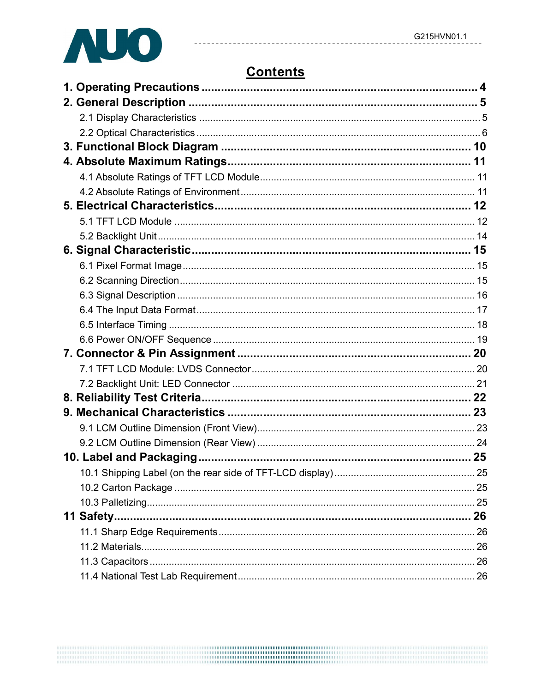

# **Contents**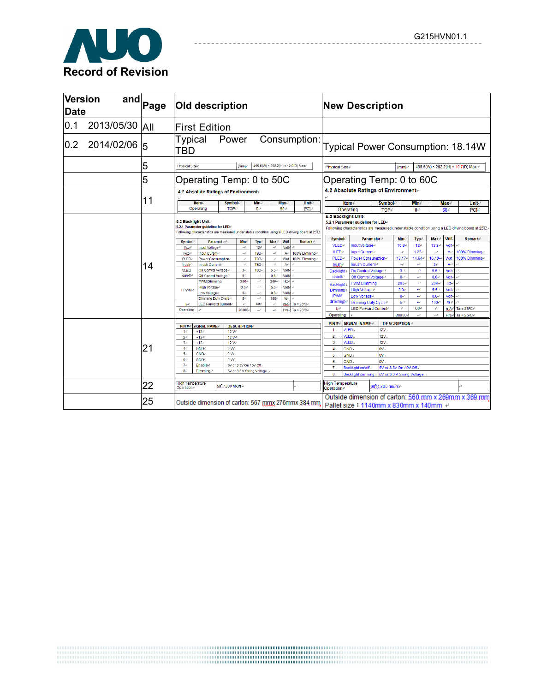

| <b>Version</b><br><b>Date</b> |            | $\overline{\mathsf{and}}_{\mathsf{Page}}$ |                                                   | Old description                                |                                    |                                  |                           |                                | <b>New Description</b> |                                                                                                |                                                                                                                                                               |                          |                                                        |                       |                     |                                |                           |                              |                                                      |
|-------------------------------|------------|-------------------------------------------|---------------------------------------------------|------------------------------------------------|------------------------------------|----------------------------------|---------------------------|--------------------------------|------------------------|------------------------------------------------------------------------------------------------|---------------------------------------------------------------------------------------------------------------------------------------------------------------|--------------------------|--------------------------------------------------------|-----------------------|---------------------|--------------------------------|---------------------------|------------------------------|------------------------------------------------------|
| 0.1                           | 2013/05/30 | <b>AII</b>                                |                                                   | <b>First Edition</b>                           |                                    |                                  |                           |                                |                        |                                                                                                |                                                                                                                                                               |                          |                                                        |                       |                     |                                |                           |                              |                                                      |
| 0.2                           | 2014/02/06 | 15                                        | Typical<br>TBD                                    |                                                | Power                              |                                  |                           |                                |                        | Consumption:                                                                                   |                                                                                                                                                               |                          |                                                        |                       |                     |                                |                           |                              | Typical Power Consumption: 18.14W                    |
|                               |            | 5                                         | Physical Size                                     |                                                |                                    | [mm]-                            |                           |                                |                        | 495.6(W) × 292.2(H) × 12.0(D) Max-                                                             | Physical Size                                                                                                                                                 |                          |                                                        |                       | [mm]-               |                                |                           |                              | 495.6(W) × 292.2(H) × 10.7(D) Max.e                  |
|                               |            | 5                                         |                                                   | Operating Temp: 0 to 50C                       |                                    |                                  |                           |                                |                        |                                                                                                |                                                                                                                                                               |                          | Operating Temp: 0 to 60C                               |                       |                     |                                |                           |                              |                                                      |
|                               |            |                                           |                                                   | 4.2 Absolute Ratings of Environmente           |                                    |                                  |                           |                                |                        |                                                                                                |                                                                                                                                                               |                          | 4.2 Absolute Ratings of Environment-                   |                       |                     |                                |                           |                              |                                                      |
|                               |            | 11                                        |                                                   | ltem√<br>Operating                             | <b>Symbol-</b><br>TOP <sub>e</sub> |                                  | Min←<br>0e                |                                | Maxe<br>50e            | <b>Unite</b><br>PC]e                                                                           |                                                                                                                                                               |                          | Iteme<br>Operating                                     | Symbole<br>$TOP \neq$ |                     | Mine<br>0e                     |                           | $Max-$<br>$60 -$             | <b>Unit-</b><br>[°C]+                                |
|                               |            |                                           | 5.2 Backlight Unit-                               | 5.2.1 Parameter guideline for LED+             |                                    |                                  |                           |                                |                        | Following characteristics are measured under stable condition using a LED driving board at 25% | 5.2 Backlight Unit-<br>5.2.1 Parameter guideline for LED+<br>Following characteristics are measured under stable condition using a LED driving board at 25°C. |                          |                                                        |                       |                     |                                |                           |                              |                                                      |
|                               |            |                                           | <b>Symbol</b>                                     | <b>Parameter</b>                               |                                    | Min-                             | Typ-                      | Max <sup>e</sup>               | Unit                   | Remark <sup>®</sup>                                                                            |                                                                                                                                                               | <b>Symbol</b> ®<br>VLED- | Input Voltage↩                                         | <b>Parameter</b>      | Mine<br>10.8e       | Typ-<br>12 <sub>e</sub>        | Max <sup>e</sup><br>13.2e | Unit<br><b>Volt-</b>         | <b>Remark</b> <sup>®</sup>                           |
|                               |            | 14                                        | <b>Vcc</b> <sup>p</sup><br>boge <sup>2</sup>      | Input Voltage+<br>Input Curent                 |                                    | $\rightarrow 0$<br>$\rightarrow$ | 12e<br>TBD <sub>e</sub>   | $\rightarrow$<br>$\rightarrow$ | <b>Volt-</b><br>$Ae^x$ | 100% Dimming®                                                                                  | ILED <sup>e</sup>                                                                                                                                             |                          | Input Currente                                         |                       | $\rightarrow$       | $1.22$ e                       | $\rightarrow$             | $A^{\rho}$                   | 100% Dimminge                                        |
|                               |            |                                           | PLED-                                             | Power Consumption-                             |                                    | $\rightarrow$                    | TBD-                      | $\rightarrow$                  | Wat                    | 100% Dimming-                                                                                  |                                                                                                                                                               | PLED <sub>e</sub>        | Power Consumption+                                     |                       | 13.17e              | 14.64e                         | $16.10 -$                 | Wat                          | 100% Dimminge                                        |
|                               |            |                                           | Irush.                                            | Inrush Currente                                |                                    | $\rightarrow$                    | TBD <sub>e</sub>          | $\rightarrow$                  | $A^{\rho}$             |                                                                                                | Irush-                                                                                                                                                        |                          | Inrush Current-                                        |                       | $\rightarrow$       | $\rightarrow$                  | 2e                        | Ae                           |                                                      |
|                               |            |                                           | <b>VLED</b><br>on/offe                            | On Control Voltage+                            |                                    | 3 <sub>o</sub><br>0e             | TBD+<br>$\mathcal{A}$     | $5.5 -$                        | Volte e<br>Volte e     |                                                                                                | <b>Backlight</b>                                                                                                                                              |                          | On Control Voltage+                                    |                       | 3e                  | $\rightarrow$                  | $5.5\phi$                 | <b>Volt-</b>                 |                                                      |
|                               |            |                                           |                                                   | Off Control Voltage+<br><b>PWM Dimming</b>     |                                    | $200 +$                          | $-\epsilon^2$             | 0.8 <sub>o</sub><br>20K+       | Hzel                   |                                                                                                |                                                                                                                                                               | on/offe                  | Off Control Voltage₽                                   |                       | 0e                  | $\rightarrow$<br>$\rightarrow$ | 0.8e                      | <b>Volt-</b>                 |                                                      |
|                               |            |                                           |                                                   | High Voltage+                                  |                                    | $3.0 -$                          | $-\epsilon^2$             | 5.5e                           | Volte e                |                                                                                                | <b>Backlight</b>                                                                                                                                              |                          | <b>PWM Dimming</b>                                     |                       | 200+<br>3.0e        | $\rightarrow$                  | 20K+<br>5.5e              | Hze                          |                                                      |
|                               |            |                                           | FPWM-                                             | Low Voltage-                                   |                                    | 0e                               | $-\epsilon^2$             | 0.8e                           | Volte                  |                                                                                                | Dimming<br>(PWM                                                                                                                                               |                          | High Voltage+<br>Low Voltage+                          |                       | 0e                  | $\rightarrow$                  | 0.8e                      | <b>Volt-</b><br><b>Volt-</b> |                                                      |
|                               |            |                                           | <b>Let</b> <sup>2</sup>                           | Dimming Duty Cycle+<br>LED Forward Currente    |                                    | 5e<br>$\mathcal{O}$              | $-4^3$<br>60 <sub>°</sub> | $100 -$<br>e                   | %                      | $\text{mA}$ <sup>d</sup> Ta = 25 °C+                                                           | dimming).                                                                                                                                                     |                          | Dimming Duty Cyclee                                    |                       | 5e                  | $\rightarrow$                  | $100 -$                   | %                            |                                                      |
|                               |            |                                           | Operating                                         |                                                |                                    | 30000+                           | $-$ e                     | 4                              |                        | Hrs $e$ Ta = 25°C+                                                                             |                                                                                                                                                               | le <sup>c</sup>          | <b>LED Forward Currente</b>                            |                       | $\epsilon^2$        | 60<                            | $\mathcal{L}$             | mA-                          | $Ta = 25^{\circ}C +$                                 |
|                               |            |                                           |                                                   |                                                |                                    |                                  |                           |                                |                        |                                                                                                | Operating                                                                                                                                                     |                          |                                                        |                       | 30000               | $\rightarrow$                  | $\rightarrow$             | Hrs+                         | $Ta = 25^{\circ}C +$                                 |
|                               |            |                                           | PIN#                                              | <b>SIGNAL NAME</b>                             |                                    | <b>DESCRIPTION</b>               |                           |                                |                        |                                                                                                | $PIN # \oplus$                                                                                                                                                |                          | <b>SIGNAL NAME</b>                                     |                       | <b>DESCRIPTION+</b> |                                |                           |                              |                                                      |
|                               |            |                                           | 1e                                                | $+12e$                                         | 12V                                |                                  |                           |                                |                        |                                                                                                | 1 <sub>2</sub>                                                                                                                                                |                          | <b>/LED</b>                                            | 12V                   |                     |                                |                           |                              |                                                      |
|                               |            |                                           | 2e                                                | $+12e$                                         | $12V$ e                            |                                  |                           |                                |                        |                                                                                                | 2.1                                                                                                                                                           |                          | /LED.                                                  | 12V                   |                     |                                |                           |                              |                                                      |
|                               |            | 21                                        | 3e                                                | $+12e$                                         | 12V                                |                                  |                           |                                |                        |                                                                                                | 3.1                                                                                                                                                           |                          | ALED.                                                  | 12V                   |                     |                                |                           |                              |                                                      |
|                               |            |                                           | 4e<br>54                                          | GNDe<br><b>GND</b> <sup>2</sup>                | $0V^{\circ}$<br>$0 V^{\circ}$      |                                  |                           |                                |                        |                                                                                                | 4.1<br>5.                                                                                                                                                     |                          | GND.<br>GND.                                           | ov.<br>OV.            |                     |                                |                           |                              |                                                      |
|                               |            |                                           | 6e                                                | <b>GND</b>                                     | 0 V <sub>o</sub>                   |                                  |                           |                                |                        |                                                                                                | 6.1                                                                                                                                                           |                          | GND.                                                   | ov.                   |                     |                                |                           |                              |                                                      |
|                               |            |                                           | 7e                                                | Enable <sup>®</sup><br>5V or 3.3V On / 0V Off. |                                    |                                  | 7 <sub>1</sub>            |                                | Backlight on\off.      |                                                                                                | 5V or 3.3V On / 0V Off.                                                                                                                                       |                          |                                                        |                       |                     |                                |                           |                              |                                                      |
|                               |            |                                           | 8e                                                | Dimming-                                       |                                    |                                  | 5V or 3.3 V Swing Voltage |                                |                        |                                                                                                | 8.                                                                                                                                                            |                          | Backlight dimming.                                     |                       |                     | 5V or 3.3 V Swing Voltage      |                           |                              |                                                      |
|                               |            | 22                                        | <b>High Temperature</b><br>Operation <sup>®</sup> |                                                | 50 C.300 hours-                    |                                  |                           |                                |                        |                                                                                                | <b>High Temperature</b><br>Operatione                                                                                                                         |                          |                                                        | 60°C.300 hourse       |                     |                                |                           |                              |                                                      |
|                               |            | 25                                        |                                                   |                                                |                                    |                                  |                           |                                |                        | Outside dimension of carton: 567 mmx 276mmx 384 mm                                             |                                                                                                                                                               |                          | Pallet size : 1140mm x 830mm x 140mm $\leftrightarrow$ |                       |                     |                                |                           |                              | Outside dimension of carton: 560 mm x 269mm x 369 mm |

------------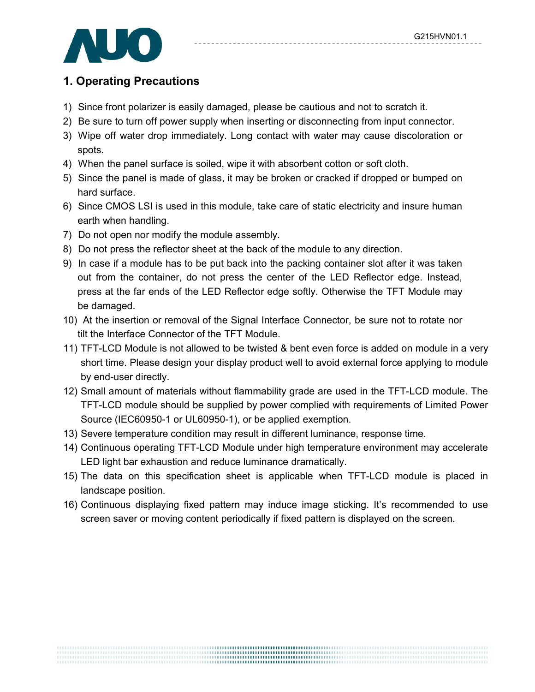# **1. Operating Precautions**

- 1) Since front polarizer is easily damaged, please be cautious and not to scratch it.
- 2) Be sure to turn off power supply when inserting or disconnecting from input connector.
- 3) Wipe off water drop immediately. Long contact with water may cause discoloration or spots.
- 4) When the panel surface is soiled, wipe it with absorbent cotton or soft cloth.
- 5) Since the panel is made of glass, it may be broken or cracked if dropped or bumped on hard surface.
- 6) Since CMOS LSI is used in this module, take care of static electricity and insure human earth when handling.
- 7) Do not open nor modify the module assembly.
- 8) Do not press the reflector sheet at the back of the module to any direction.
- 9) In case if a module has to be put back into the packing container slot after it was taken out from the container, do not press the center of the LED Reflector edge. Instead, press at the far ends of the LED Reflector edge softly. Otherwise the TFT Module may be damaged.
- 10) At the insertion or removal of the Signal Interface Connector, be sure not to rotate nor tilt the Interface Connector of the TFT Module.
- 11) TFT-LCD Module is not allowed to be twisted & bent even force is added on module in a very short time. Please design your display product well to avoid external force applying to module by end-user directly.
- 12) Small amount of materials without flammability grade are used in the TFT-LCD module. The TFT-LCD module should be supplied by power complied with requirements of Limited Power Source (IEC60950-1 or UL60950-1), or be applied exemption.
- 13) Severe temperature condition may result in different luminance, response time.
- 14) Continuous operating TFT-LCD Module under high temperature environment may accelerate LED light bar exhaustion and reduce luminance dramatically.
- 15) The data on this specification sheet is applicable when TFT-LCD module is placed in landscape position.
- 16) Continuous displaying fixed pattern may induce image sticking. It's recommended to use screen saver or moving content periodically if fixed pattern is displayed on the screen.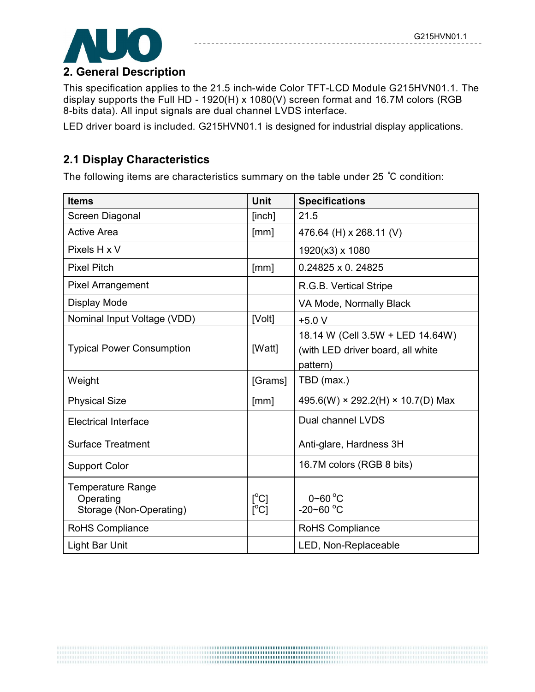

### **2. General Description**

This specification applies to the 21.5 inch-wide Color TFT-LCD Module G215HVN01.1. The display supports the Full HD - 1920(H) x 1080(V) screen format and 16.7M colors (RGB 8-bits data). All input signals are dual channel LVDS interface.

LED driver board is included. G215HVN01.1 is designed for industrial display applications.

## **2.1 Display Characteristics**

The following items are characteristics summary on the table under 25 ℃ condition:

| <b>Items</b>                                                     | <b>Unit</b>                                | <b>Specifications</b>                                                             |
|------------------------------------------------------------------|--------------------------------------------|-----------------------------------------------------------------------------------|
| Screen Diagonal                                                  | [inch]                                     | 21.5                                                                              |
| <b>Active Area</b>                                               | [mm]                                       | 476.64 (H) x 268.11 (V)                                                           |
| Pixels H x V                                                     |                                            | 1920(x3) x 1080                                                                   |
| <b>Pixel Pitch</b>                                               | [mm]                                       | $0.24825 \times 0.24825$                                                          |
| <b>Pixel Arrangement</b>                                         |                                            | R.G.B. Vertical Stripe                                                            |
| Display Mode                                                     |                                            | VA Mode, Normally Black                                                           |
| Nominal Input Voltage (VDD)                                      | [Volt]                                     | $+5.0V$                                                                           |
| <b>Typical Power Consumption</b>                                 | [Watt]                                     | 18.14 W (Cell 3.5W + LED 14.64W)<br>(with LED driver board, all white<br>pattern) |
| Weight                                                           | [Grams]                                    | TBD (max.)                                                                        |
| <b>Physical Size</b>                                             | [mm]                                       | 495.6(W) × 292.2(H) × 10.7(D) Max                                                 |
| <b>Electrical Interface</b>                                      |                                            | Dual channel LVDS                                                                 |
| <b>Surface Treatment</b>                                         |                                            | Anti-glare, Hardness 3H                                                           |
| <b>Support Color</b>                                             |                                            | 16.7M colors (RGB 8 bits)                                                         |
| <b>Temperature Range</b><br>Operating<br>Storage (Non-Operating) | $\mathfrak{l}^{\circ}$ C]<br>$[^{\circ}C]$ | $0\nthicksim 60^{\circ}$ C<br>$-20 - 60$ °C                                       |
| RoHS Compliance                                                  |                                            | RoHS Compliance                                                                   |
| <b>Light Bar Unit</b>                                            |                                            | LED, Non-Replaceable                                                              |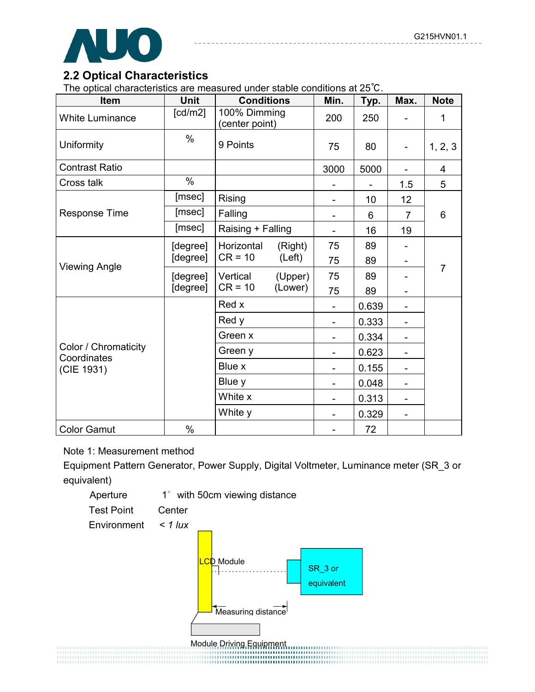

# **2.2 Optical Characteristics**

The optical characteristics are measured under stable conditions at 25℃.

| Item                                | <b>Unit</b> | <b>Conditions</b>              | Min.                         | Typ.  | Max.                         | <b>Note</b>    |
|-------------------------------------|-------------|--------------------------------|------------------------------|-------|------------------------------|----------------|
| <b>White Luminance</b>              | [cd/m2]     | 100% Dimming<br>(center point) | 200                          | 250   |                              | 1              |
| Uniformity                          | $\%$        | 9 Points                       | 75                           | 80    |                              | 1, 2, 3        |
| <b>Contrast Ratio</b>               |             |                                | 3000                         | 5000  |                              | $\overline{4}$ |
| Cross talk                          | $\%$        |                                |                              |       | 1.5                          | 5              |
|                                     | [msec]      | Rising                         | $\qquad \qquad \blacksquare$ | 10    | 12                           |                |
| <b>Response Time</b>                | [msec]      | Falling                        |                              | 6     | $\overline{7}$               | 6              |
|                                     | [msec]      | Raising + Falling              | $\qquad \qquad \blacksquare$ | 16    | 19                           |                |
|                                     | [degree]    | Horizontal<br>(Right)          | 75                           | 89    |                              |                |
|                                     | [degree]    | $CR = 10$<br>(Left)            | 75                           | 89    | -                            |                |
| <b>Viewing Angle</b>                | [degree]    | Vertical<br>(Upper)            | 75                           | 89    |                              | $\overline{7}$ |
|                                     | [degree]    | $CR = 10$<br>(Lower)           | 75                           | 89    | $\qquad \qquad \blacksquare$ |                |
|                                     |             | Red x                          |                              | 0.639 | $\qquad \qquad \blacksquare$ |                |
|                                     |             | Red y                          | $\overline{\phantom{a}}$     | 0.333 | -                            |                |
|                                     |             | Green x                        |                              | 0.334 |                              |                |
| Color / Chromaticity<br>Coordinates |             | Green y                        |                              | 0.623 |                              |                |
| (CIE 1931)                          |             | Blue x                         | $\overline{\phantom{a}}$     | 0.155 | -                            |                |
|                                     |             | Blue y                         | $\overline{\phantom{0}}$     | 0.048 |                              |                |
|                                     |             | White x                        | $\overline{\phantom{0}}$     | 0.313 |                              |                |
|                                     |             | White y                        | $\blacksquare$               | 0.329 | $\overline{\phantom{a}}$     |                |
| <b>Color Gamut</b>                  | %           |                                |                              | 72    |                              |                |

#### Note 1: Measurement method

Equipment Pattern Generator, Power Supply, Digital Voltmeter, Luminance meter (SR\_3 or equivalent)

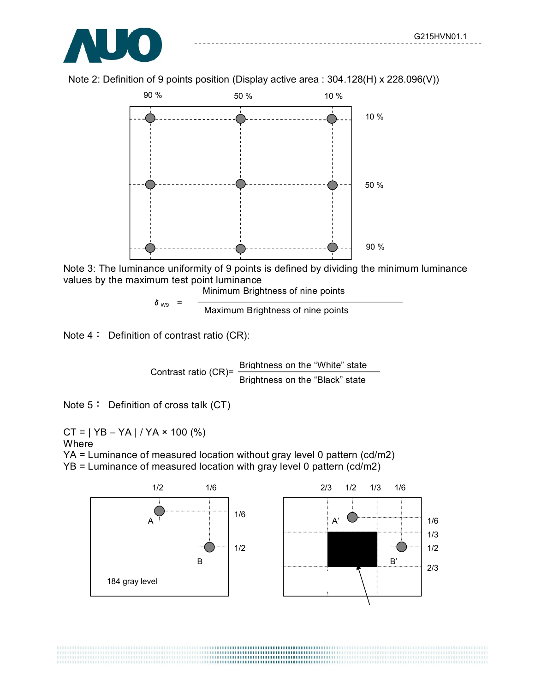

Note 2: Definition of 9 points position (Display active area : 304.128(H) x 228.096(V))



Note 3: The luminance uniformity of 9 points is defined by dividing the minimum luminance values by the maximum test point luminance

Minimum Brightness of nine points

 $\delta_{\text{W9}}$  =  $\frac{1}{\text{Maximum~Brightness of nine points}}$ 

Note 4: Definition of contrast ratio (CR):

Contrast ratio (CR)= Brightness on the "White" state Brightness on the "Black" state

Note 5: Definition of cross talk (CT)

 $CT = | YB - YA | / YA \times 100 (%)$ Where

YA = Luminance of measured location without gray level 0 pattern (cd/m2) YB = Luminance of measured location with gray level 0 pattern (cd/m2)



,,,,,,,,,,,,,,,,,,,,,,,,,,,,,,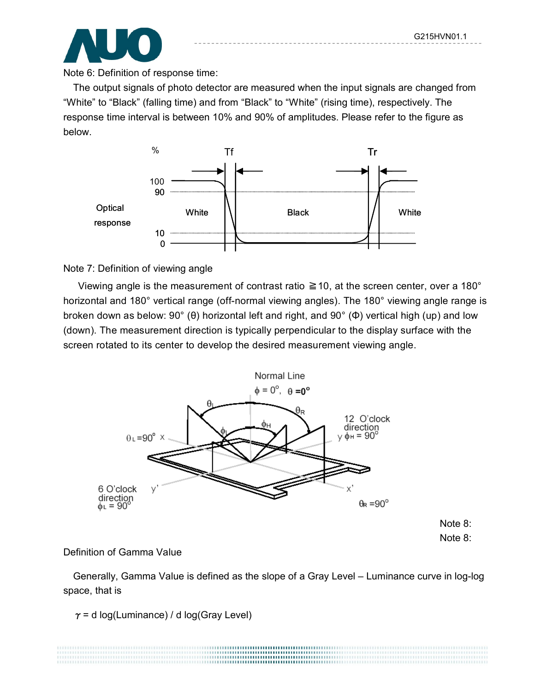Note 8: Note 8:



Note 6: Definition of response time:

The output signals of photo detector are measured when the input signals are changed from "White" to "Black" (falling time) and from "Black" to "White" (rising time), respectively. The response time interval is between 10% and 90% of amplitudes. Please refer to the figure as below.



#### Note 7: Definition of viewing angle

Viewing angle is the measurement of contrast ratio  $\geq 10$ , at the screen center, over a 180° horizontal and 180° vertical range (off-normal viewing angles). The 180° viewing angle range is broken down as below: 90° (θ) horizontal left and right, and 90° (Φ) vertical high (up) and low (down). The measurement direction is typically perpendicular to the display surface with the screen rotated to its center to develop the desired measurement viewing angle.



#### Definition of Gamma Value

 Generally, Gamma Value is defined as the slope of a Gray Level – Luminance curve in log-log space, that is

> .......................

 $\gamma$  = d log(Luminance) / d log(Gray Level)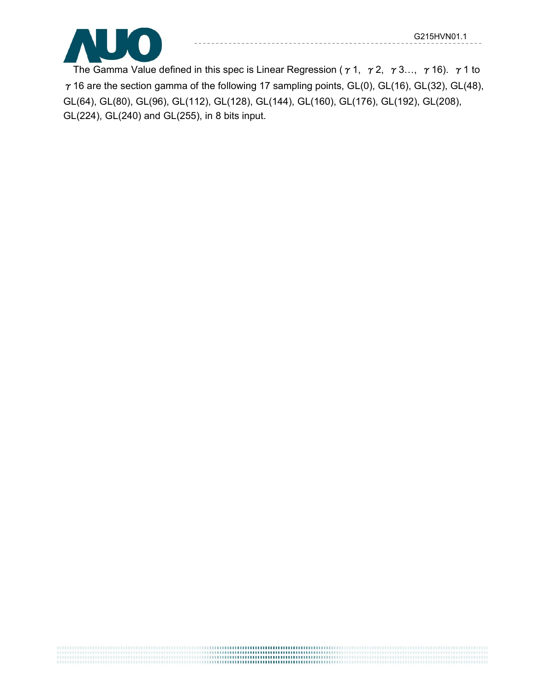

The Gamma Value defined in this spec is Linear Regression ( $\gamma$  1,  $\gamma$  2,  $\gamma$  3...,  $\gamma$  16).  $\gamma$  1 to  $\gamma$  16 are the section gamma of the following 17 sampling points, GL(0), GL(16), GL(32), GL(48), GL(64), GL(80), GL(96), GL(112), GL(128), GL(144), GL(160), GL(176), GL(192), GL(208), GL(224), GL(240) and GL(255), in 8 bits input.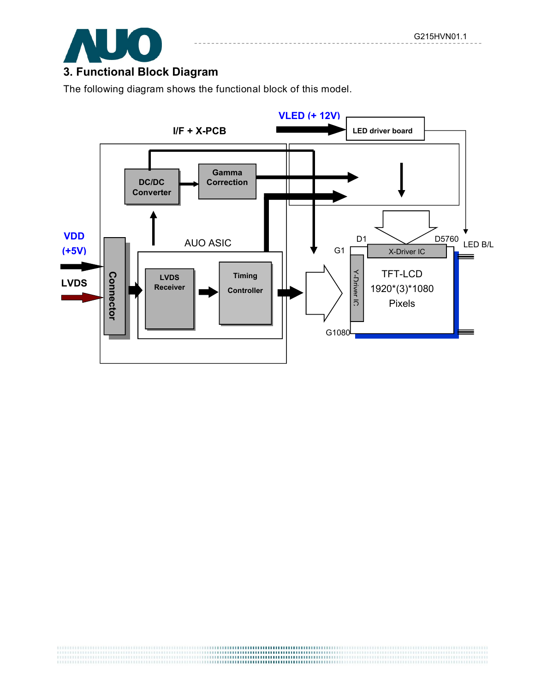

# **3. Functional Block Diagram**

The following diagram shows the functional block of this model.

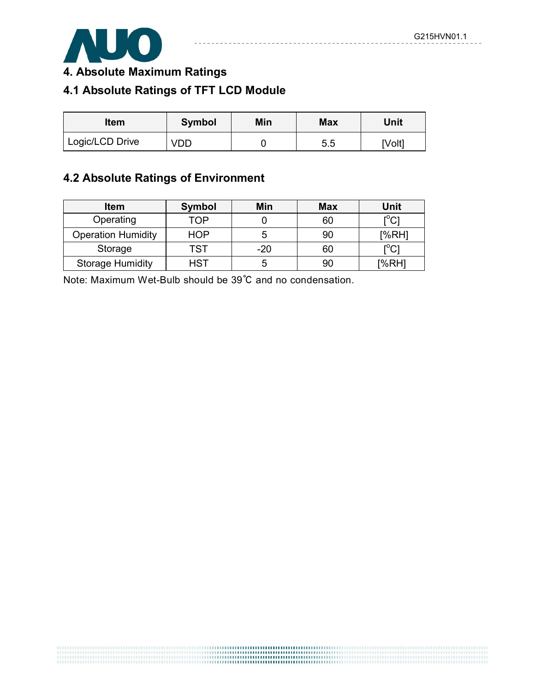------------



**4. Absolute Maximum Ratings**

# **4.1 Absolute Ratings of TFT LCD Module**

| <b>Item</b>     | Symbol | Min | <b>Max</b> | Unit   |  |
|-----------------|--------|-----|------------|--------|--|
| Logic/LCD Drive | VDD.   |     | 5.5        | [Volt] |  |

## **4.2 Absolute Ratings of Environment**

| <b>Item</b>               | <b>Symbol</b> | Min   | <b>Max</b> | Unit                                                |
|---------------------------|---------------|-------|------------|-----------------------------------------------------|
| Operating                 | TOP           |       | 60         | $\mathsf{I}^\circ\mathsf{C} \mathsf{I}$             |
| <b>Operation Humidity</b> | <b>HOP</b>    |       | 90         | [%RH]                                               |
| Storage                   | TST           | $-20$ | 60         | $\mathop{\rm l\hspace{0.05cm}}\nolimits^{\circ}$ Cl |
| <b>Storage Humidity</b>   | HST           | b     | 90         | [%RH]                                               |

Note: Maximum Wet-Bulb should be 39°C and no condensation.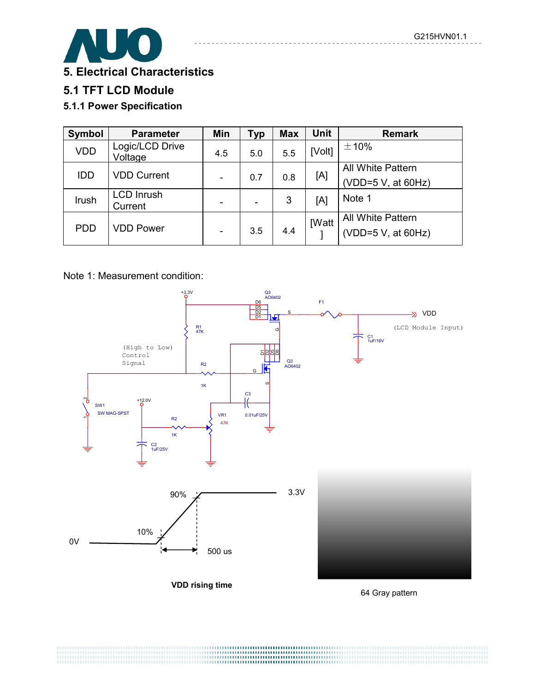

**5. Electrical Characteristics**

## **5.1 TFT LCD Module**

#### **5.1.1 Power Specification**

| Symbol     | <b>Parameter</b>             | Min | Тур | <b>Max</b> | <b>Unit</b>  | <b>Remark</b>            |
|------------|------------------------------|-----|-----|------------|--------------|--------------------------|
| <b>VDD</b> | Logic/LCD Drive<br>Voltage   | 4.5 | 5.0 | 5.5        | [Volt]       | ±10%                     |
| <b>IDD</b> | <b>VDD Current</b>           |     |     |            |              | <b>All White Pattern</b> |
|            |                              |     | 0.7 | 0.8        | [A]          | (VDD=5 V, at 60Hz)       |
| Irush      | <b>LCD Inrush</b><br>Current |     |     | 3          | [A]          | Note 1                   |
|            |                              |     |     |            |              | <b>All White Pattern</b> |
| <b>PDD</b> | <b>VDD Power</b>             |     | 3.5 | 4.4        | <b>IWatt</b> | (VDD=5 V, at 60Hz)       |

Note 1: Measurement condition:

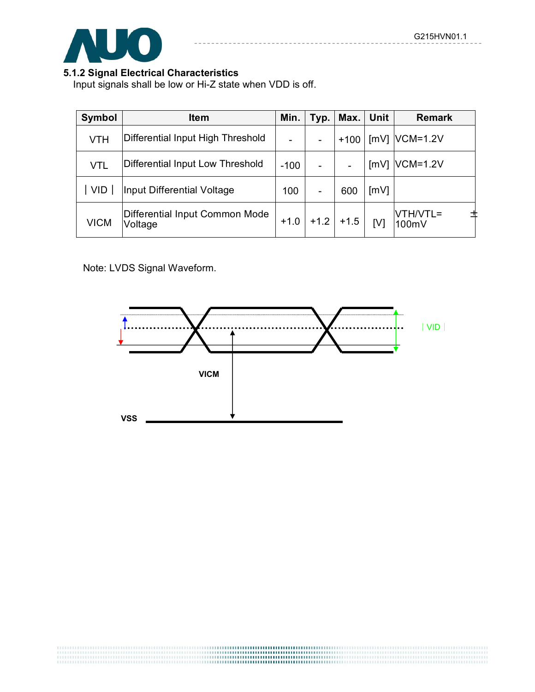

### **5.1.2 Signal Electrical Characteristics**

Input signals shall be low or Hi-Z state when VDD is off.

| Symbol      | <b>Item</b>                               | Min.   | Typ.                     | Max.   | <b>Unit</b> | <b>Remark</b>     |
|-------------|-------------------------------------------|--------|--------------------------|--------|-------------|-------------------|
| <b>VTH</b>  | Differential Input High Threshold         |        | -                        | $+100$ |             | $[mV]$ VCM=1.2V   |
| <b>VTL</b>  | Differential Input Low Threshold          | $-100$ |                          |        | [mV]        | $VCM=1.2V$        |
| <b>VID</b>  | Input Differential Voltage                |        | $\overline{\phantom{a}}$ | 600    | [mV]        |                   |
| <b>VICM</b> | Differential Input Common Mode<br>Voltage |        | $+1.2$                   | $+1.5$ | [V]         | VTH/VTL=<br>100mV |

Note: LVDS Signal Waveform.

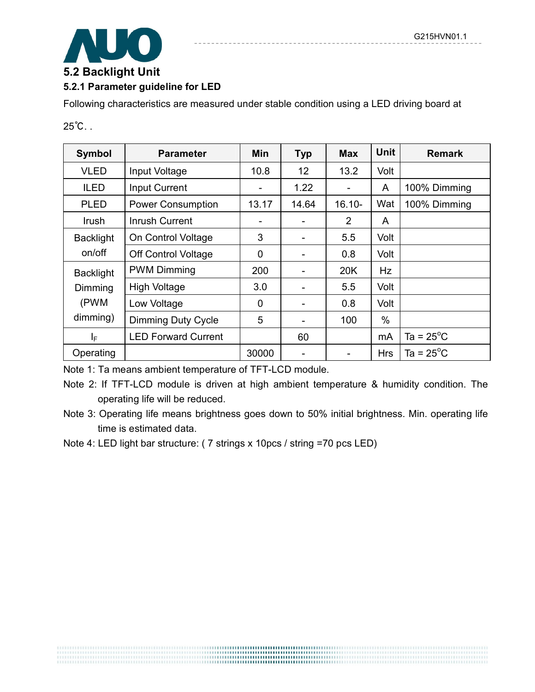

#### **5.2 Backlight Unit 5.2.1 Parameter guideline for LED**

Following characteristics are measured under stable condition using a LED driving board at

25℃. .

| Symbol           | <b>Parameter</b>           | <b>Min</b>                   | <b>Typ</b> | <b>Max</b>     | <b>Unit</b> | <b>Remark</b>       |
|------------------|----------------------------|------------------------------|------------|----------------|-------------|---------------------|
| <b>VLED</b>      | Input Voltage              | 10.8                         | 12         | 13.2           | Volt        |                     |
| <b>ILED</b>      | <b>Input Current</b>       | $\qquad \qquad \blacksquare$ | 1.22       |                | A           | 100% Dimming        |
| <b>PLED</b>      | <b>Power Consumption</b>   | 13.17                        | 14.64      | $16.10 -$      | Wat         | 100% Dimming        |
| Irush            | <b>Inrush Current</b>      |                              |            | $\overline{2}$ | A           |                     |
| <b>Backlight</b> | On Control Voltage         | 3                            | -          | 5.5            | Volt        |                     |
| on/off           | <b>Off Control Voltage</b> | $\overline{0}$               |            | 0.8            | Volt        |                     |
| <b>Backlight</b> | <b>PWM Dimming</b>         | 200                          |            | 20K            | Hz          |                     |
| Dimming          | <b>High Voltage</b>        | 3.0                          |            | 5.5            | Volt        |                     |
| (PWM             | Low Voltage                | $\mathbf 0$                  |            | 0.8            | Volt        |                     |
| dimming)         | <b>Dimming Duty Cycle</b>  | 5                            |            | 100            | $\%$        |                     |
| ΙF               | <b>LED Forward Current</b> |                              | 60         |                | mA          | Ta = $25^{\circ}$ C |
| Operating        |                            | 30000                        |            |                | <b>Hrs</b>  | Ta = $25^{\circ}$ C |

Note 1: Ta means ambient temperature of TFT-LCD module.

- Note 3: Operating life means brightness goes down to 50% initial brightness. Min. operating life time is estimated data.
- Note 4: LED light bar structure: ( 7 strings x 10pcs / string =70 pcs LED)

Note 2: If TFT-LCD module is driven at high ambient temperature & humidity condition. The operating life will be reduced.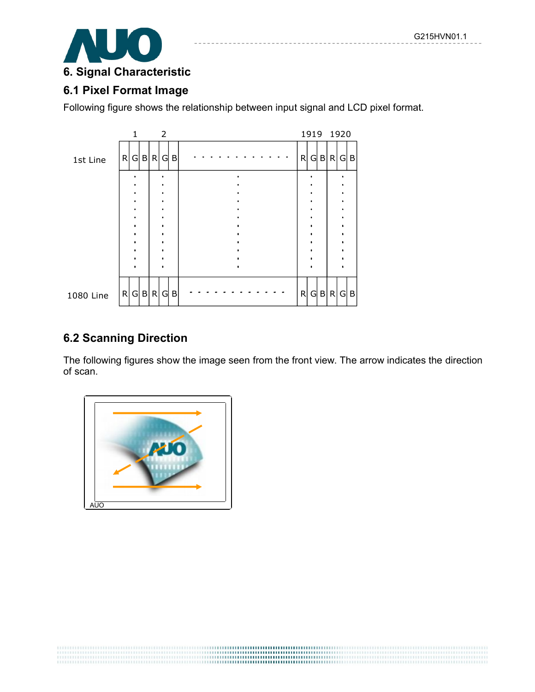

# **6.1 Pixel Format Image**

Following figure shows the relationship between input signal and LCD pixel format.



### **6.2 Scanning Direction**

The following figures show the image seen from the front view. The arrow indicates the direction of scan.

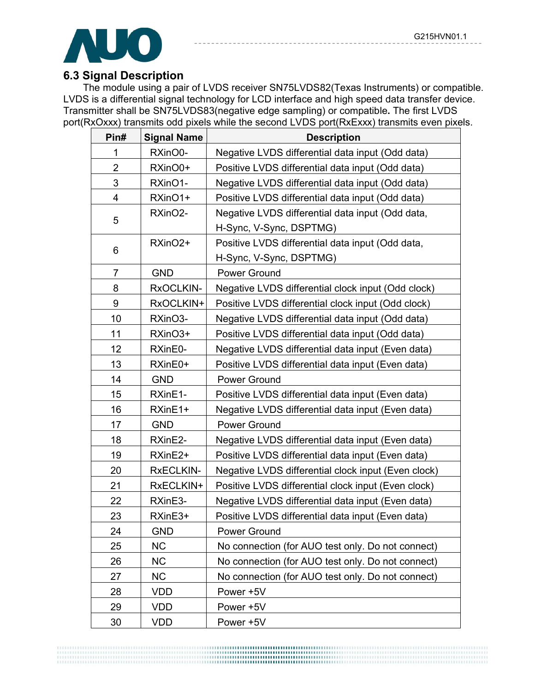

## **6.3 Signal Description**

The module using a pair of LVDS receiver SN75LVDS82(Texas Instruments) or compatible. LVDS is a differential signal technology for LCD interface and high speed data transfer device. Transmitter shall be SN75LVDS83(negative edge sampling) or compatible**.** The first LVDS port(RxOxxx) transmits odd pixels while the second LVDS port(RxExxx) transmits even pixels.

| Pin#           | <b>Signal Name</b>  | <b>Description</b>                                  |
|----------------|---------------------|-----------------------------------------------------|
| 1              | RXinO0-             | Negative LVDS differential data input (Odd data)    |
| $\overline{2}$ | RXinO0+             | Positive LVDS differential data input (Odd data)    |
| 3              | RXinO1-             | Negative LVDS differential data input (Odd data)    |
| 4              | RXinO1+             | Positive LVDS differential data input (Odd data)    |
|                | RXinO2-             | Negative LVDS differential data input (Odd data,    |
| 5              |                     | H-Sync, V-Sync, DSPTMG)                             |
|                | RXinO <sub>2+</sub> | Positive LVDS differential data input (Odd data,    |
| 6              |                     | H-Sync, V-Sync, DSPTMG)                             |
| $\overline{7}$ | <b>GND</b>          | Power Ground                                        |
| 8              | RxOCLKIN-           | Negative LVDS differential clock input (Odd clock)  |
| 9              | RxOCLKIN+           | Positive LVDS differential clock input (Odd clock)  |
| 10             | RXinO3-             | Negative LVDS differential data input (Odd data)    |
| 11             | RXinO3+             | Positive LVDS differential data input (Odd data)    |
| 12             | RXinE0-             | Negative LVDS differential data input (Even data)   |
| 13             | RXinE0+             | Positive LVDS differential data input (Even data)   |
| 14             | <b>GND</b>          | Power Ground                                        |
| 15             | RXinE1-             | Positive LVDS differential data input (Even data)   |
| 16             | RXinE1+             | Negative LVDS differential data input (Even data)   |
| 17             | <b>GND</b>          | Power Ground                                        |
| 18             | RXinE2-             | Negative LVDS differential data input (Even data)   |
| 19             | RXinE2+             | Positive LVDS differential data input (Even data)   |
| 20             | RxECLKIN-           | Negative LVDS differential clock input (Even clock) |
| 21             | RxECLKIN+           | Positive LVDS differential clock input (Even clock) |
| 22             | RXinE3-             | Negative LVDS differential data input (Even data)   |
| 23             | RXinE3+             | Positive LVDS differential data input (Even data)   |
| 24             | <b>GND</b>          | Power Ground                                        |
| 25             | <b>NC</b>           | No connection (for AUO test only. Do not connect)   |
| 26             | <b>NC</b>           | No connection (for AUO test only. Do not connect)   |
| 27             | <b>NC</b>           | No connection (for AUO test only. Do not connect)   |
| 28             | <b>VDD</b>          | Power +5V                                           |
| 29             | <b>VDD</b>          | Power +5V                                           |
| 30             | <b>VDD</b>          | Power +5V                                           |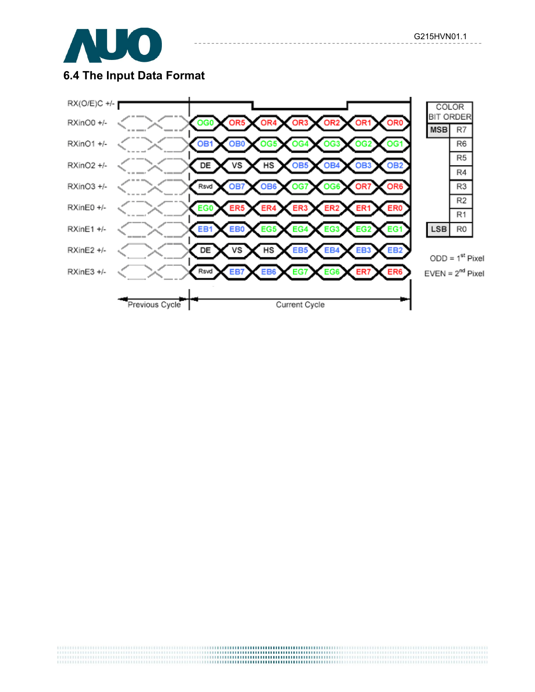

# **6.4 The Input Data Format**

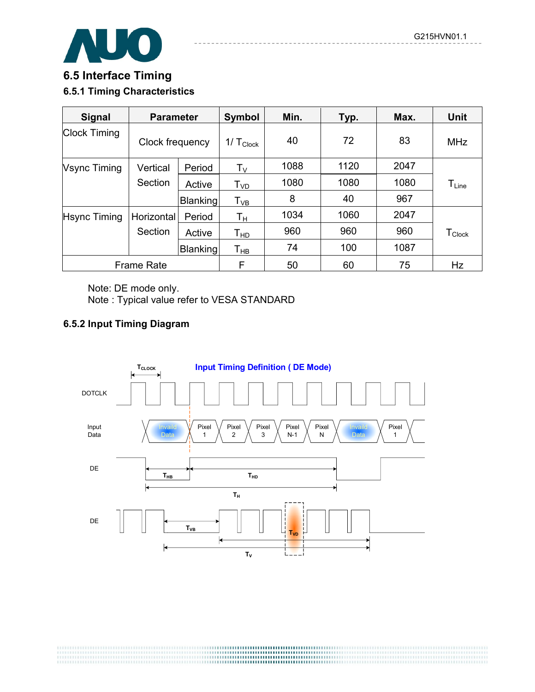

# **6.5 Interface Timing 6.5.1 Timing Characteristics**

| <b>Signal</b>       | <b>Parameter</b> |          | Symbol                      | Min. | Typ. | Max. | <b>Unit</b>                  |
|---------------------|------------------|----------|-----------------------------|------|------|------|------------------------------|
| <b>Clock Timing</b> | Clock frequency  |          | $1/\text{T}_{\text{Clock}}$ | 40   | 72   | 83   | <b>MHz</b>                   |
| <b>Vsync Timing</b> | Vertical         | Period   | $T_{V}$                     | 1088 | 1120 | 2047 |                              |
|                     | Section          | Active   | T <sub>VD</sub>             | 1080 | 1080 | 1080 | $\mathsf{T}_{\mathsf{Line}}$ |
|                     |                  | Blanking | $\mathsf{T}_{\mathsf{VB}}$  | 8    | 40   | 967  |                              |
| <b>Hsync Timing</b> | Horizontal       | Period   | Τн                          | 1034 | 1060 | 2047 |                              |
|                     | Section          | Active   | Тно                         | 960  | 960  | 960  | $T_{\text{Clock}}$           |
|                     |                  | Blanking | Тнв                         | 74   | 100  | 1087 |                              |
| <b>Frame Rate</b>   |                  |          | F                           | 50   | 60   | 75   | Hz                           |

Note: DE mode only.

Note : Typical value refer to VESA STANDARD

#### **6.5.2 Input Timing Diagram**

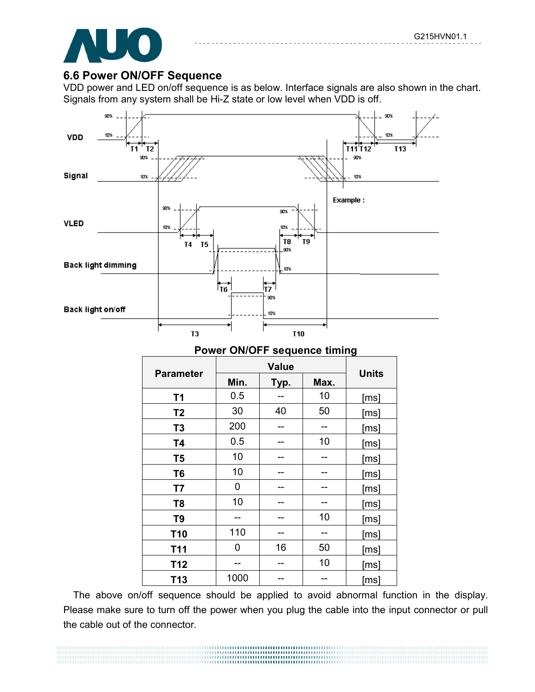

#### **6.6 Power ON/OFF Sequence**

VDD power and LED on/off sequence is as below. Interface signals are also shown in the chart. Signals from any system shall be Hi-Z state or low level when VDD is off.



#### **Power ON/OFF sequence timing**

| <b>Parameter</b> | Min.<br>Typ. |    | Max. | <b>Units</b> |  |
|------------------|--------------|----|------|--------------|--|
| T1               | 0.5          |    | 10   | [ms]         |  |
| T <sub>2</sub>   | 30           | 40 | 50   | [ms]         |  |
| T <sub>3</sub>   | 200          |    |      | [ms]         |  |
| <b>T4</b>        | 0.5          |    | 10   | [ms]         |  |
| T <sub>5</sub>   | 10           |    |      | [ms]         |  |
| T <sub>6</sub>   | 10           |    |      | [ms]         |  |
| <b>T7</b>        | 0            |    |      | [ms]         |  |
| T <sub>8</sub>   | 10           |    |      | [ms]         |  |
| T <sub>9</sub>   |              |    | 10   | [ms]         |  |
| <b>T10</b>       | 110          |    |      | [ms]         |  |
| T <sub>11</sub>  | 0            | 16 | 50   | [ms]         |  |
| T <sub>12</sub>  |              |    | 10   | [ms]         |  |
| T <sub>13</sub>  | 1000         |    |      | [ms]         |  |

The above on/off sequence should be applied to avoid abnormal function in the display. Please make sure to turn off the power when you plug the cable into the input connector or pull the cable out of the connector.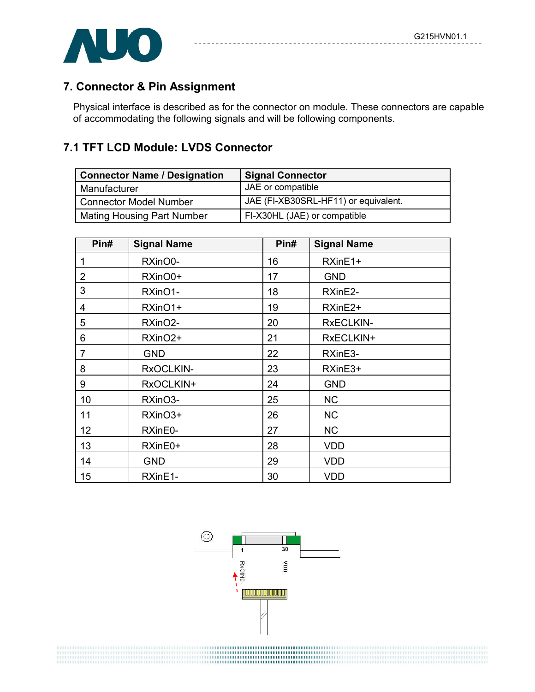

# **7. Connector & Pin Assignment**

Physical interface is described as for the connector on module. These connectors are capable of accommodating the following signals and will be following components.

## **7.1 TFT LCD Module: LVDS Connector**

| <b>Connector Name / Designation</b> | <b>Signal Connector</b>              |
|-------------------------------------|--------------------------------------|
| Manufacturer                        | JAE or compatible                    |
| Connector Model Number              | JAE (FI-XB30SRL-HF11) or equivalent. |
| <b>Mating Housing Part Number</b>   | FI-X30HL (JAE) or compatible         |

| Pin#           | <b>Signal Name</b>  | Pin# | <b>Signal Name</b> |
|----------------|---------------------|------|--------------------|
| 1              | RXinO0-             | 16   | RXinE1+            |
| $\overline{2}$ | RXinO0+             | 17   | <b>GND</b>         |
| 3              | RXinO1-             | 18   | RXinE2-            |
| 4              | RXinO1+             | 19   | RXinE2+            |
| 5              | RXinO2-             | 20   | <b>RxECLKIN-</b>   |
| 6              | RXinO <sub>2+</sub> | 21   | RxECLKIN+          |
| $\overline{7}$ | <b>GND</b>          | 22   | RXinE3-            |
| 8              | RxOCLKIN-           | 23   | RXinE3+            |
| 9              | RxOCLKIN+           | 24   | <b>GND</b>         |
| 10             | RXinO3-             | 25   | <b>NC</b>          |
| 11             | RXinO3+             | 26   | <b>NC</b>          |
| 12             | RXinE0-             | 27   | <b>NC</b>          |
| 13             | RXinE0+             | 28   | <b>VDD</b>         |
| 14             | <b>GND</b>          | 29   | <b>VDD</b>         |
| 15             | RXinE1-             | 30   | <b>VDD</b>         |

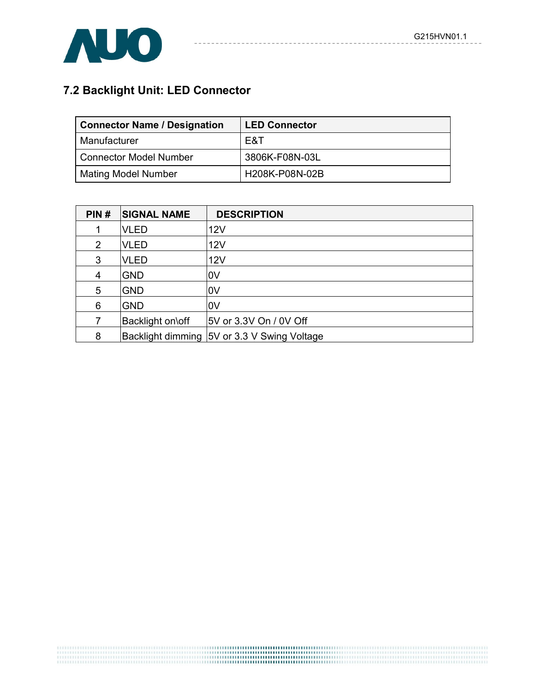

# **7.2 Backlight Unit: LED Connector**

| <b>Connector Name / Designation</b> | <b>LED Connector</b> |
|-------------------------------------|----------------------|
| Manufacturer                        | E&T                  |
| Connector Model Number              | 3806K-F08N-03L       |
| <b>Mating Model Number</b>          | H208K-P08N-02B       |

---------

| PIN#           | <b>SIGNAL NAME</b> | <b>DESCRIPTION</b>                          |
|----------------|--------------------|---------------------------------------------|
|                | <b>VLED</b>        | 12V                                         |
| $\overline{2}$ | <b>VLED</b>        | 12V                                         |
| 3              | <b>VLED</b>        | <b>12V</b>                                  |
| 4              | <b>GND</b>         | 0V                                          |
| 5              | <b>GND</b>         | l0V                                         |
| 6              | <b>GND</b>         | l0V                                         |
| 7              | Backlight on\off   | 5V or 3.3V On / 0V Off                      |
| 8              |                    | Backlight dimming 5V or 3.3 V Swing Voltage |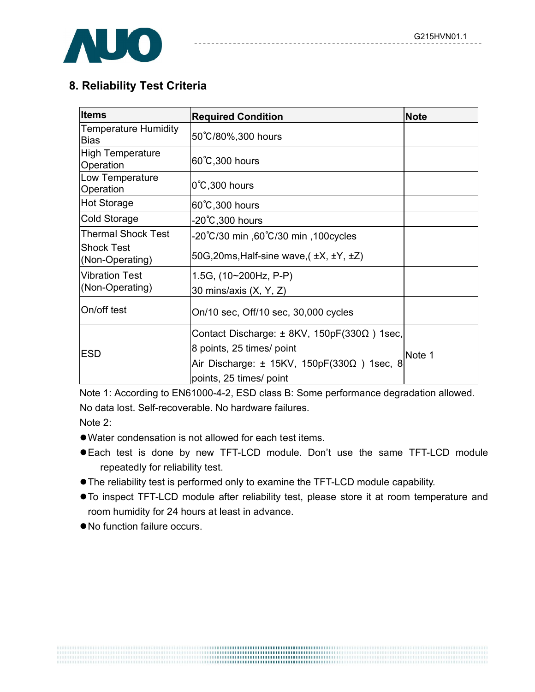

# **8. Reliability Test Criteria**

| <b>Items</b>                               | <b>Required Condition</b>                          | <b>Note</b> |  |
|--------------------------------------------|----------------------------------------------------|-------------|--|
| <b>Temperature Humidity</b><br><b>Bias</b> | 50°C/80%,300 hours                                 |             |  |
| High Temperature<br>Operation              | 60°C, 300 hours                                    |             |  |
| Low Temperature<br>Operation               | $0^{\circ}$ C,300 hours                            |             |  |
| <b>Hot Storage</b>                         | 60°C, 300 hours                                    |             |  |
| Cold Storage                               | -20℃,300 hours                                     |             |  |
| <b>Thermal Shock Test</b>                  | 100cycles, 20°C/30 min ,60°C/30 min.               |             |  |
| <b>Shock Test</b><br>(Non-Operating)       | 50G, 20ms, Half-sine wave, $(\pm X, \pm Y, \pm Z)$ |             |  |
| <b>Vibration Test</b><br>(Non-Operating)   | 1.5G, $(10~200Hz, P-P)$<br>30 mins/axis (X, Y, Z)  |             |  |
| On/off test                                | On/10 sec, Off/10 sec, 30,000 cycles               |             |  |
|                                            | Contact Discharge: ± 8KV, 150pF(330Ω) 1sec,        |             |  |
| <b>ESD</b>                                 | 8 points, 25 times/ point                          | Note 1      |  |
|                                            | Air Discharge: ± 15KV, 150pF(330Ω) 1sec, 8         |             |  |
|                                            | points, 25 times/ point                            |             |  |

Note 1: According to EN61000-4-2, ESD class B: Some performance degradation allowed. No data lost. Self-recoverable. No hardware failures.

Note 2:

- Water condensation is not allowed for each test items.
- Each test is done by new TFT-LCD module. Don't use the same TFT-LCD module repeatedly for reliability test.
- $\bullet$  The reliability test is performed only to examine the TFT-LCD module capability.
- $\bullet$  To inspect TFT-LCD module after reliability test, please store it at room temperature and room humidity for 24 hours at least in advance.
- $\bullet$  No function failure occurs.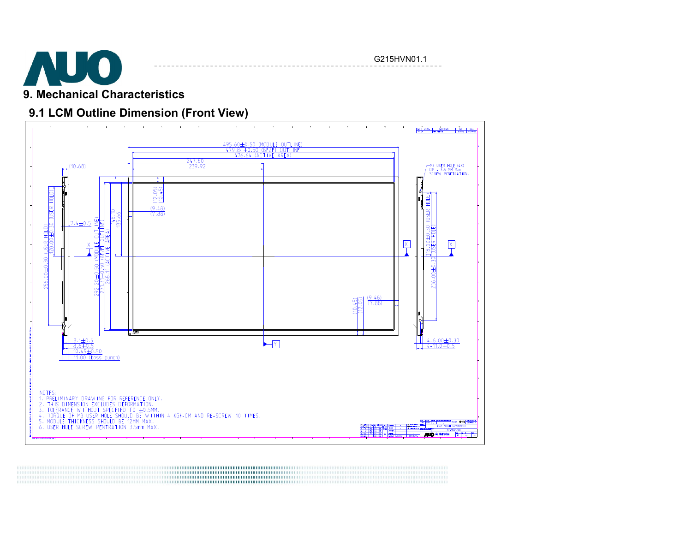

G215HVN01.1

# **9. Mechanical Characteristics**

## **9.1 LCM Outline Dimension (Front View)**

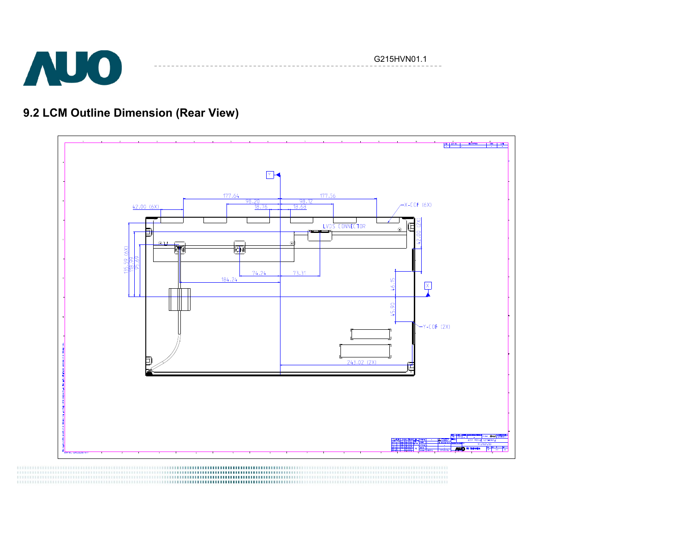

G215HVN01.1

# **9.2 LCM Outline Dimension (Rear View)**

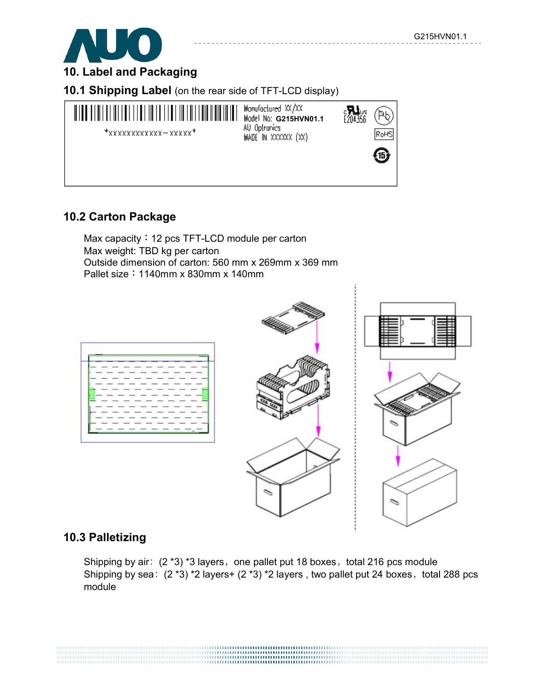

**10. Label and Packaging**

**10.1 Shipping Label** (on the rear side of TFT-LCD display)



### **10.2 Carton Package**

Max capacity: 12 pcs TFT-LCD module per carton Max weight: TBD kg per carton Outside dimension of carton: 560 mm x 269mm x 369 mm Pallet size:1140mm x 830mm x 140mm





### **10.3 Palletizing**

Shipping by air:  $(2 \times 3) \times 3$  layers, one pallet put 18 boxes, total 216 pcs module Shipping by sea:  $(2 * 3) * 2$  layers+  $(2 * 3) * 2$  layers, two pallet put 24 boxes, total 288 pcs module